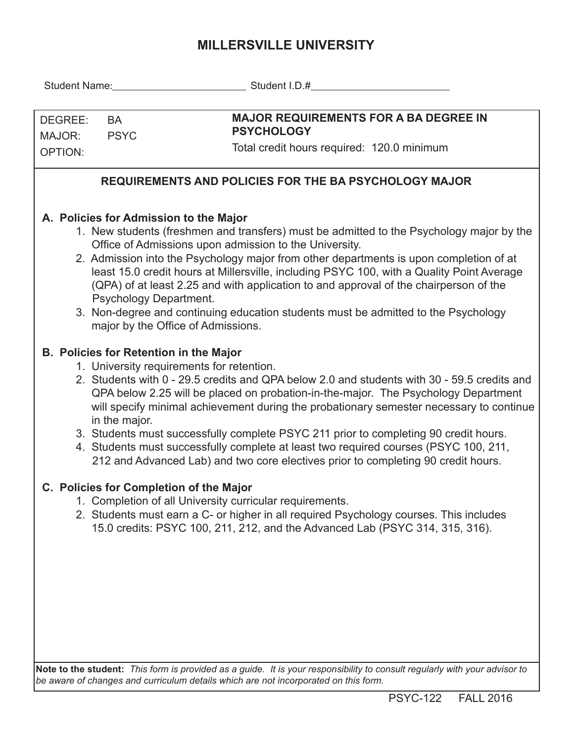## **MILLERSVILLE UNIVERSITY**

|                                                                                                                                                                                                                   |                                                                                                             | Student Name: Student I.D.#                                                                                                                                                                                                                                                                                                                                                                                                                                                                                                                       |  |  |  |  |  |  |  |  |  |
|-------------------------------------------------------------------------------------------------------------------------------------------------------------------------------------------------------------------|-------------------------------------------------------------------------------------------------------------|---------------------------------------------------------------------------------------------------------------------------------------------------------------------------------------------------------------------------------------------------------------------------------------------------------------------------------------------------------------------------------------------------------------------------------------------------------------------------------------------------------------------------------------------------|--|--|--|--|--|--|--|--|--|
| DEGREE:<br>MAJOR:<br><b>OPTION:</b>                                                                                                                                                                               | <b>BA</b><br><b>PSYC</b>                                                                                    | <b>MAJOR REQUIREMENTS FOR A BA DEGREE IN</b><br><b>PSYCHOLOGY</b><br>Total credit hours required: 120.0 minimum                                                                                                                                                                                                                                                                                                                                                                                                                                   |  |  |  |  |  |  |  |  |  |
| <b>REQUIREMENTS AND POLICIES FOR THE BA PSYCHOLOGY MAJOR</b>                                                                                                                                                      |                                                                                                             |                                                                                                                                                                                                                                                                                                                                                                                                                                                                                                                                                   |  |  |  |  |  |  |  |  |  |
|                                                                                                                                                                                                                   | A. Policies for Admission to the Major<br>Psychology Department.<br>major by the Office of Admissions.      | 1. New students (freshmen and transfers) must be admitted to the Psychology major by the<br>Office of Admissions upon admission to the University.<br>2. Admission into the Psychology major from other departments is upon completion of at<br>least 15.0 credit hours at Millersville, including PSYC 100, with a Quality Point Average<br>(QPA) of at least 2.25 and with application to and approval of the chairperson of the<br>3. Non-degree and continuing education students must be admitted to the Psychology                          |  |  |  |  |  |  |  |  |  |
|                                                                                                                                                                                                                   | <b>B. Policies for Retention in the Major</b><br>1. University requirements for retention.<br>in the major. | 2. Students with 0 - 29.5 credits and QPA below 2.0 and students with 30 - 59.5 credits and<br>QPA below 2.25 will be placed on probation-in-the-major. The Psychology Department<br>will specify minimal achievement during the probationary semester necessary to continue<br>3. Students must successfully complete PSYC 211 prior to completing 90 credit hours.<br>4. Students must successfully complete at least two required courses (PSYC 100, 211,<br>212 and Advanced Lab) and two core electives prior to completing 90 credit hours. |  |  |  |  |  |  |  |  |  |
|                                                                                                                                                                                                                   | C. Policies for Completion of the Major<br>1. Completion of all University curricular requirements.         | 2. Students must earn a C- or higher in all required Psychology courses. This includes<br>15.0 credits: PSYC 100, 211, 212, and the Advanced Lab (PSYC 314, 315, 316).                                                                                                                                                                                                                                                                                                                                                                            |  |  |  |  |  |  |  |  |  |
| Note to the student: This form is provided as a guide. It is your responsibility to consult regularly with your advisor to<br>be aware of changes and curriculum details which are not incorporated on this form. |                                                                                                             |                                                                                                                                                                                                                                                                                                                                                                                                                                                                                                                                                   |  |  |  |  |  |  |  |  |  |